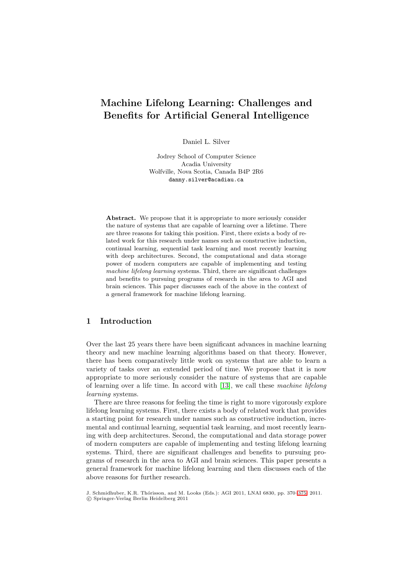# Machine Lifelong Learning: Challenges and Benefits for Artificial General Intelligence

Daniel L. Silver

Jodrey School of Computer Science Acadia University Wolfville, Nova Scotia, Canada B4P 2R6 danny.silver@acadiau.ca

Abstract. We propose that it is appropriate to more seriously consider the nature of systems that are capable of learning over a lifetime. There are three reasons for taking this position. First, there exists a body of related work for this research under names such as constructive induction, continual learning, sequential task learning and most recently learning with deep architectures. Second, the computational and data storage power of modern computers are capable of implementing and testing machine lifelong learning systems. Third, there are significant challenges and benefits to pursuing programs of research in the area to AGI and brain sciences. This paper discusses each of the above in the context of a general framework for machine lifelong learning.

# 1 Introduction

Over the last 25 years there have been significant advances in machine learning theory and new machine learning algorithms based on that theory. However, there has been comparatively little work on systems that are able to learn a variety of tasks over an extended period of time. We propose that it is now appropriate to more seriously consider the nature of systems that are capable of learning over a life time. In accord with [\[13\]](#page-5-0), we call these machine lifelong learning systems.

There are three reasons for feeling the time is right to more vigorously explore lifelong learning systems. First, there exists a body of related work that provides a starting point for research under names such as constructive induction, incremental and continual learning, sequential task learning, and most recently learning with deep architectures. Second, the computational and data storage power of modern computers are capable of implementing and testing lifelong learning systems. Third, there are significant challenges and benefits to pursuing programs of research in the area to AGI and brain sciences. This paper presents a general framework for machine lifelong learning and then discusses each of the above reasons for further research.

J. Schmidhuber, K.R. Thórisson, and M. Looks (Eds.): AGI 2011, LNAI 6830, pp. 370[–375,](#page-5-1) 2011.

<sup>!</sup>c Springer-Verlag Berlin Heidelberg 2011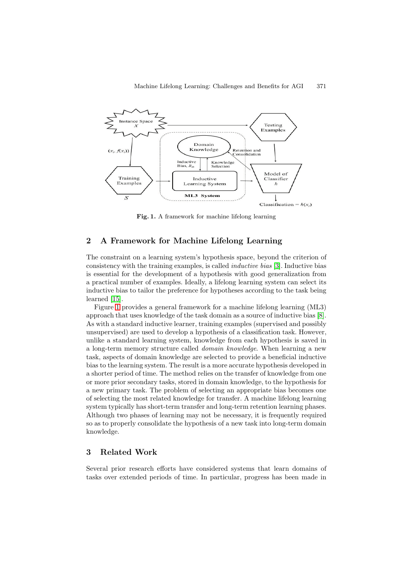

<span id="page-1-0"></span>Fig. 1. A framework for machine lifelong learning

# 2 A Framework for Machine Lifelong Learning

The constraint on a learning system's hypothesis space, beyond the criterion of consistency with the training examples, is called inductive bias [\[3\]](#page-5-2). Inductive bias is essential for the development of a hypothesis with good generalization from a practical number of examples. Ideally, a lifelong learning system can select its inductive bias to tailor the preference for hypotheses according to the task being learned [\[15\]](#page-5-3).

Figure [1](#page-1-0) provides a general framework for a machine lifelong learning (ML3) approach that uses knowledge of the task domain as a source of inductive bias [\[8\]](#page-5-4). As with a standard inductive learner, training examples (supervised and possibly unsupervised) are used to develop a hypothesis of a classification task. However, unlike a standard learning system, knowledge from each hypothesis is saved in a long-term memory structure called domain knowledge. When learning a new task, aspects of domain knowledge are selected to provide a beneficial inductive bias to the learning system. The result is a more accurate hypothesis developed in a shorter period of time. The method relies on the transfer of knowledge from one or more prior secondary tasks, stored in domain knowledge, to the hypothesis for a new primary task. The problem of selecting an appropriate bias becomes one of selecting the most related knowledge for transfer. A machine lifelong learning system typically has short-term transfer and long-term retention learning phases. Although two phases of learning may not be necessary, it is frequently required so as to properly consolidate the hypothesis of a new task into long-term domain knowledge.

# 3 Related Work

Several prior research efforts have considered systems that learn domains of tasks over extended periods of time. In particular, progress has been made in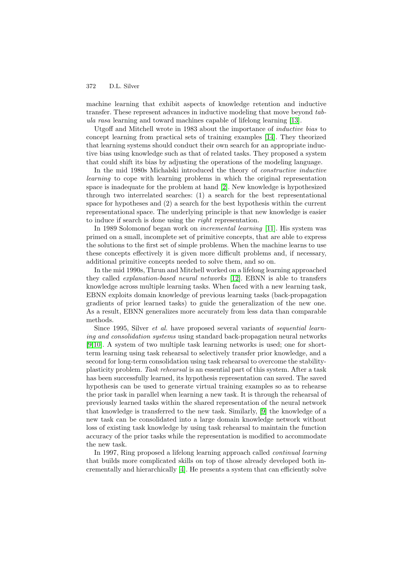372 D.L. Silver

machine learning that exhibit aspects of knowledge retention and inductive transfer. These represent advances in inductive modeling that move beyond tabula rasa learning and toward machines capable of lifelong learning [\[13\]](#page-5-0).

Utgoff and Mitchell wrote in 1983 about the importance of inductive bias to concept learning from practical sets of training examples [\[14\]](#page-5-5). They theorized that learning systems should conduct their own search for an appropriate inductive bias using knowledge such as that of related tasks. They proposed a system that could shift its bias by adjusting the operations of the modeling language.

In the mid 1980s Michalski introduced the theory of constructive inductive learning to cope with learning problems in which the original representation space is inadequate for the problem at hand [\[2\]](#page-5-6). New knowledge is hypothesized through two interrelated searches: (1) a search for the best representational space for hypotheses and (2) a search for the best hypothesis within the current representational space. The underlying principle is that new knowledge is easier to induce if search is done using the right representation.

In 1989 Solomonof began work on incremental learning [\[11\]](#page-5-7). His system was primed on a small, incomplete set of primitive concepts, that are able to express the solutions to the first set of simple problems. When the machine learns to use these concepts effectively it is given more difficult problems and, if necessary, additional primitive concepts needed to solve them, and so on.

In the mid 1990s, Thrun and Mitchell worked on a lifelong learning approached they called explanation-based neural networks [\[12\]](#page-5-8). EBNN is able to transfers knowledge across multiple learning tasks. When faced with a new learning task, EBNN exploits domain knowledge of previous learning tasks (back-propagation gradients of prior learned tasks) to guide the generalization of the new one. As a result, EBNN generalizes more accurately from less data than comparable methods.

Since 1995, Silver et al. have proposed several variants of sequential learning and consolidation systems using standard back-propagation neural networks [\[9,](#page-5-9)[10\]](#page-5-10). A system of two multiple task learning networks is used; one for shortterm learning using task rehearsal to selectively transfer prior knowledge, and a second for long-term consolidation using task rehearsal to overcome the stabilityplasticity problem. Task rehearsal is an essential part of this system. After a task has been successfully learned, its hypothesis representation can saved. The saved hypothesis can be used to generate virtual training examples so as to rehearse the prior task in parallel when learning a new task. It is through the rehearsal of previously learned tasks within the shared representation of the neural network that knowledge is transferred to the new task. Similarly, [\[9\]](#page-5-9) the knowledge of a new task can be consolidated into a large domain knowledge network without loss of existing task knowledge by using task rehearsal to maintain the function accuracy of the prior tasks while the representation is modified to accommodate the new task.

In 1997, Ring proposed a lifelong learning approach called continual learning that builds more complicated skills on top of those already developed both incrementally and hierarchically [\[4\]](#page-5-11). He presents a system that can efficiently solve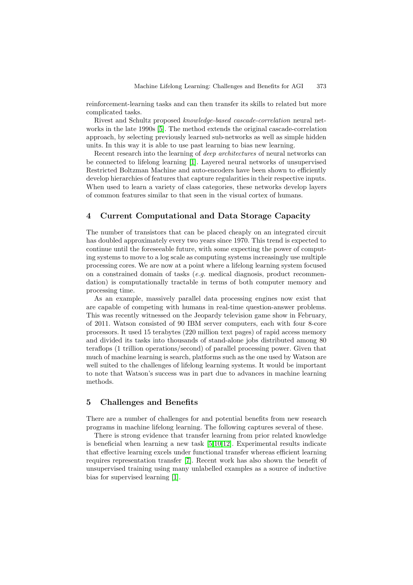reinforcement-learning tasks and can then transfer its skills to related but more complicated tasks.

Rivest and Schultz proposed knowledge-based cascade-correlation neural networks in the late 1990s [\[5\]](#page-5-12). The method extends the original cascade-correlation approach, by selecting previously learned sub-networks as well as simple hidden units. In this way it is able to use past learning to bias new learning.

Recent research into the learning of deep architectures of neural networks can be connected to lifelong learning [\[1\]](#page-5-13). Layered neural networks of unsupervised Restricted Boltzman Machine and auto-encoders have been shown to efficiently develop hierarchies of features that capture regularities in their respective inputs. When used to learn a variety of class categories, these networks develop layers of common features similar to that seen in the visual cortex of humans.

### 4 Current Computational and Data Storage Capacity

The number of transistors that can be placed cheaply on an integrated circuit has doubled approximately every two years since 1970. This trend is expected to continue until the foreseeable future, with some expecting the power of computing systems to move to a log scale as computing systems increasingly use multiple processing cores. We are now at a point where a lifelong learning system focused on a constrained domain of tasks (e.g. medical diagnosis, product recommendation) is computationally tractable in terms of both computer memory and processing time.

As an example, massively parallel data processing engines now exist that are capable of competing with humans in real-time question-answer problems. This was recently witnessed on the Jeopardy television game show in February, of 2011. Watson consisted of 90 IBM server computers, each with four 8-core processors. It used 15 terabytes (220 million text pages) of rapid access memory and divided its tasks into thousands of stand-alone jobs distributed among 80 teraflops (1 trillion operations/second) of parallel processing power. Given that much of machine learning is search, platforms such as the one used by Watson are well suited to the challenges of lifelong learning systems. It would be important to note that Watson's success was in part due to advances in machine learning methods.

### 5 Challenges and Benefits

There are a number of challenges for and potential benefits from new research programs in machine lifelong learning. The following captures several of these.

There is strong evidence that transfer learning from prior related knowledge is beneficial when learning a new task [\[5](#page-5-12)[,10](#page-5-10)[,12\]](#page-5-8). Experimental results indicate that effective learning excels under functional transfer whereas efficient learning requires representation transfer [\[7\]](#page-5-14). Recent work has also shown the benefit of unsupervised training using many unlabelled examples as a source of inductive bias for supervised learning [\[1\]](#page-5-13).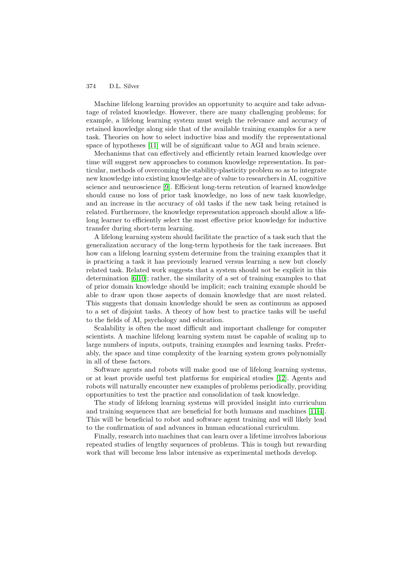#### 374 D.L. Silver

Machine lifelong learning provides an opportunity to acquire and take advantage of related knowledge. However, there are many challenging problems; for example, a lifelong learning system must weigh the relevance and accuracy of retained knowledge along side that of the available training examples for a new task. Theories on how to select inductive bias and modify the representational space of hypotheses [\[11\]](#page-5-7) will be of significant value to AGI and brain science.

Mechanisms that can effectively and efficiently retain learned knowledge over time will suggest new approaches to common knowledge representation. In particular, methods of overcoming the stability-plasticity problem so as to integrate new knowledge into existing knowledge are of value to researchers in AI, cognitive science and neuroscience [\[9\]](#page-5-9). Efficient long-term retention of learned knowledge should cause no loss of prior task knowledge, no loss of new task knowledge, and an increase in the accuracy of old tasks if the new task being retained is related. Furthermore, the knowledge representation approach should allow a lifelong learner to efficiently select the most effective prior knowledge for inductive transfer during short-term learning.

A lifelong learning system should facilitate the practice of a task such that the generalization accuracy of the long-term hypothesis for the task increases. But how can a lifelong learning system determine from the training examples that it is practicing a task it has previously learned versus learning a new but closely related task. Related work suggests that a system should not be explicit in this determination [\[6](#page-5-15)[,10\]](#page-5-10); rather, the similarity of a set of training examples to that of prior domain knowledge should be implicit; each training example should be able to draw upon those aspects of domain knowledge that are most related. This suggests that domain knowledge should be seen as continuum as apposed to a set of disjoint tasks. A theory of how best to practice tasks will be useful to the fields of AI, psychology and education.

Scalability is often the most difficult and important challenge for computer scientists. A machine lifelong learning system must be capable of scaling up to large numbers of inputs, outputs, training examples and learning tasks. Preferably, the space and time complexity of the learning system grows polynomially in all of these factors.

Software agents and robots will make good use of lifelong learning systems, or at least provide useful test platforms for empirical studies [\[12\]](#page-5-8). Agents and robots will naturally encounter new examples of problems periodically, providing opportunities to test the practice and consolidation of task knowledge.

The study of lifelong learning systems will provided insight into curriculum and training sequences that are beneficial for both humans and machines [\[11,](#page-5-7)[4\]](#page-5-11). This will be beneficial to robot and software agent training and will likely lead to the confirmation of and advances in human educational curriculum.

Finally, research into machines that can learn over a lifetime involves laborious repeated studies of lengthy sequences of problems. This is tough but rewarding work that will become less labor intensive as experimental methods develop.